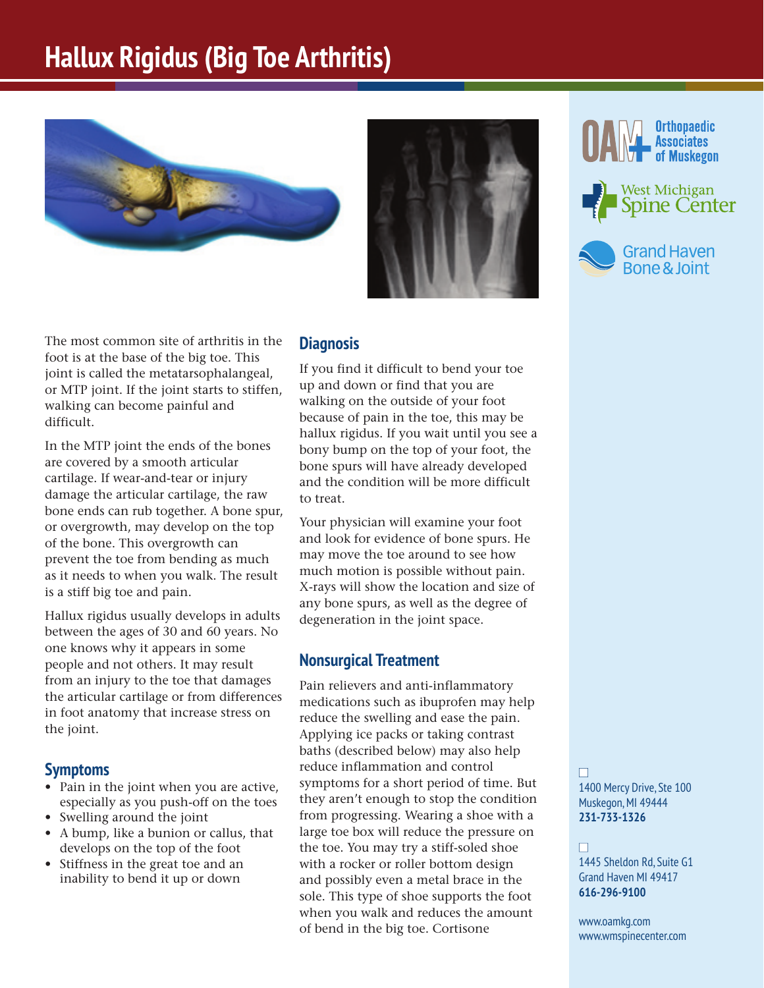# **Hallux Rigidus (Big Toe Arthritis)**





The most common site of arthritis in the foot is at the base of the big toe. This joint is called the metatarsophalangeal, or MTP joint. If the joint starts to stiffen, walking can become painful and difficult.

In the MTP joint the ends of the bones are covered by a smooth articular cartilage. If wear-and-tear or injury damage the articular cartilage, the raw bone ends can rub together. A bone spur, or overgrowth, may develop on the top of the bone. This overgrowth can prevent the toe from bending as much as it needs to when you walk. The result is a stiff big toe and pain.

Hallux rigidus usually develops in adults between the ages of 30 and 60 years. No one knows why it appears in some people and not others. It may result from an injury to the toe that damages the articular cartilage or from differences in foot anatomy that increase stress on the joint.

### **Symptoms**

- Pain in the joint when you are active, especially as you push-off on the toes
- Swelling around the joint
- A bump, like a bunion or callus, that develops on the top of the foot
- Stiffness in the great toe and an inability to bend it up or down

#### **Diagnosis**

If you find it difficult to bend your toe up and down or find that you are walking on the outside of your foot because of pain in the toe, this may be hallux rigidus. If you wait until you see a bony bump on the top of your foot, the bone spurs will have already developed and the condition will be more difficult to treat.

Your physician will examine your foot and look for evidence of bone spurs. He may move the toe around to see how much motion is possible without pain. X-rays will show the location and size of any bone spurs, as well as the degree of degeneration in the joint space.

### **Nonsurgical Treatment**

Pain relievers and anti-inflammatory medications such as ibuprofen may help reduce the swelling and ease the pain. Applying ice packs or taking contrast baths (described below) may also help reduce inflammation and control symptoms for a short period of time. But they aren't enough to stop the condition from progressing. Wearing a shoe with a large toe box will reduce the pressure on the toe. You may try a stiff-soled shoe with a rocker or roller bottom design and possibly even a metal brace in the sole. This type of shoe supports the foot when you walk and reduces the amount of bend in the big toe. Cortisone



West Michigan Spine Center



n 1400 Mercy Drive, Ste 100 Muskegon, MI 49444 **231-733-1326**

#### n

1445 Sheldon Rd, Suite G1 Grand Haven MI 49417 **616-296-9100**

www.oamkg.com www.wmspinecenter.com